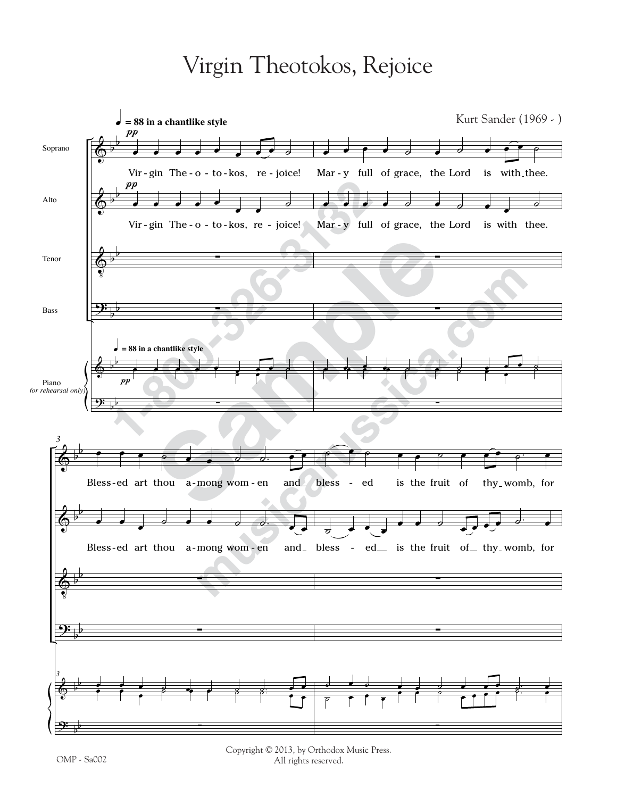## Virgin Theotokos, Rejoice



Copyright © 2013, by Orthodox Music Press. All rights reserved.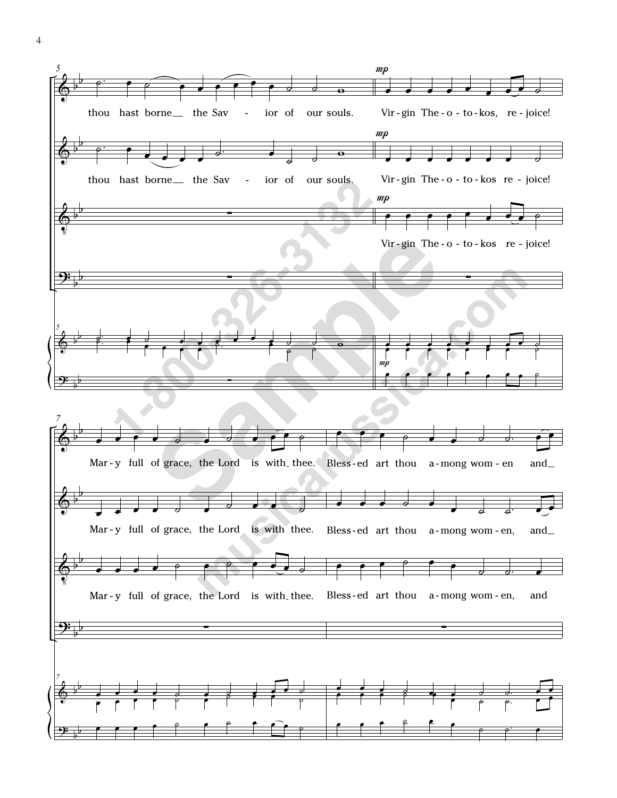

4